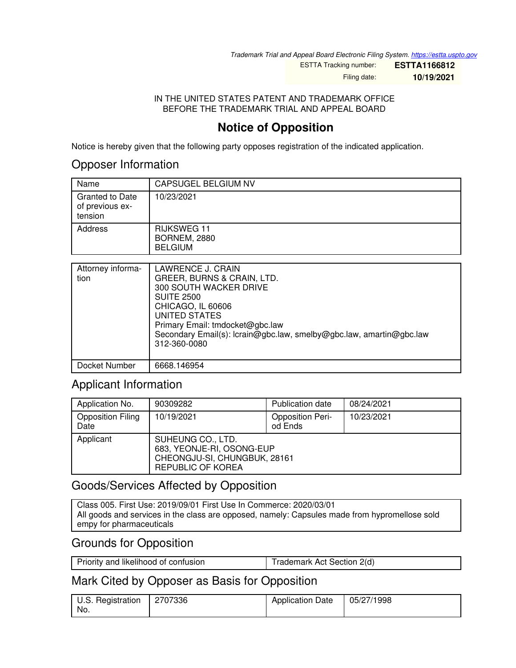*Trademark Trial and Appeal Board Electronic Filing System. <https://estta.uspto.gov>*

ESTTA Tracking number: **ESTTA1166812**

Filing date: **10/19/2021**

#### IN THE UNITED STATES PATENT AND TRADEMARK OFFICE BEFORE THE TRADEMARK TRIAL AND APPEAL BOARD

# **Notice of Opposition**

Notice is hereby given that the following party opposes registration of the indicated application.

### Opposer Information

| Name                                                 | CAPSUGEL BELGIUM NV                                         |
|------------------------------------------------------|-------------------------------------------------------------|
| <b>Granted to Date</b><br>of previous ex-<br>tension | 10/23/2021                                                  |
| Address                                              | <b>RIJKSWEG 11</b><br><b>BORNEM, 2880</b><br><b>BELGIUM</b> |

| Attorney informa-<br>tion | LAWRENCE J. CRAIN<br>GREER, BURNS & CRAIN, LTD.<br><b>300 SOUTH WACKER DRIVE</b><br><b>SUITE 2500</b><br>CHICAGO, IL 60606<br>UNITED STATES<br>Primary Email: tmdocket@gbc.law<br>Secondary Email(s): lcrain@gbc.law, smelby@gbc.law, amartin@gbc.law<br>312-360-0080 |
|---------------------------|-----------------------------------------------------------------------------------------------------------------------------------------------------------------------------------------------------------------------------------------------------------------------|
| Docket Number             | 6668.146954                                                                                                                                                                                                                                                           |

## Applicant Information

| Application No.                  | 90309282                                                                                            | Publication date                   | 08/24/2021 |
|----------------------------------|-----------------------------------------------------------------------------------------------------|------------------------------------|------------|
| <b>Opposition Filing</b><br>Date | 10/19/2021                                                                                          | <b>Opposition Peri-</b><br>od Ends | 10/23/2021 |
| Applicant                        | SUHEUNG CO., LTD.<br>683, YEONJE-RI, OSONG-EUP<br>CHEONGJU-SI, CHUNGBUK, 28161<br>REPUBLIC OF KOREA |                                    |            |

# Goods/Services Affected by Opposition

Class 005. First Use: 2019/09/01 First Use In Commerce: 2020/03/01 All goods and services in the class are opposed, namely: Capsules made from hypromellose sold empy for pharmaceuticals

### Grounds for Opposition

| Priority and likelihood of confusion | Trademark Act Section 2(d) |
|--------------------------------------|----------------------------|
|                                      |                            |

## Mark Cited by Opposer as Basis for Opposition

| U.S. Registration | 2707336 | <b>Application Date</b> | 05/27/1998 |
|-------------------|---------|-------------------------|------------|
| No.               |         |                         |            |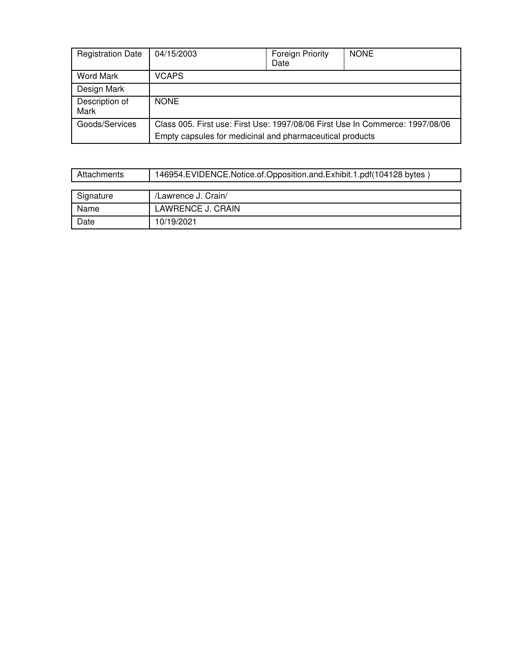| <b>Registration Date</b> | 04/15/2003                                                                                                                                | <b>Foreign Priority</b><br>Date | <b>NONE</b> |
|--------------------------|-------------------------------------------------------------------------------------------------------------------------------------------|---------------------------------|-------------|
| Word Mark                | <b>VCAPS</b>                                                                                                                              |                                 |             |
| Design Mark              |                                                                                                                                           |                                 |             |
| Description of<br>Mark   | <b>NONE</b>                                                                                                                               |                                 |             |
| Goods/Services           | Class 005. First use: First Use: 1997/08/06 First Use In Commerce: 1997/08/06<br>Empty capsules for medicinal and pharmaceutical products |                                 |             |

| Attachments | 146954.EVIDENCE.Notice.of.Opposition.and.Exhibit.1.pdf(104128 bytes) |  |  |
|-------------|----------------------------------------------------------------------|--|--|
|             |                                                                      |  |  |
| Signature   | /Lawrence J. Crain/                                                  |  |  |
| Name        | <b>LAWRENCE J. CRAIN</b>                                             |  |  |
| Date        | 10/19/2021                                                           |  |  |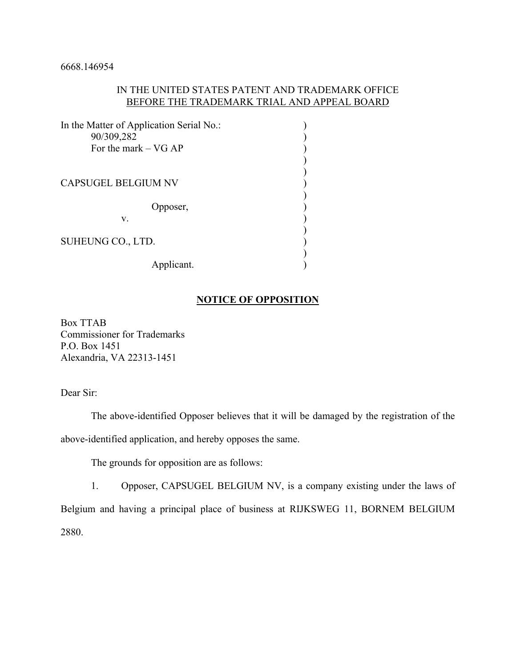### IN THE UNITED STATES PATENT AND TRADEMARK OFFICE BEFORE THE TRADEMARK TRIAL AND APPEAL BOARD

| In the Matter of Application Serial No.: |  |
|------------------------------------------|--|
| 90/309,282                               |  |
| For the mark $-$ VG AP                   |  |
|                                          |  |
|                                          |  |
| <b>CAPSUGEL BELGIUM NV</b>               |  |
|                                          |  |
| Opposer,                                 |  |
| V.                                       |  |
|                                          |  |
| SUHEUNG CO., LTD.                        |  |
|                                          |  |
| Applicant.                               |  |

#### **NOTICE OF OPPOSITION**

Box TTAB Commissioner for Trademarks P.O. Box 1451 Alexandria, VA 22313-1451

Dear Sir:

 The above-identified Opposer believes that it will be damaged by the registration of the above-identified application, and hereby opposes the same.

The grounds for opposition are as follows:

 1. Opposer, CAPSUGEL BELGIUM NV, is a company existing under the laws of Belgium and having a principal place of business at RIJKSWEG 11, BORNEM BELGIUM 2880.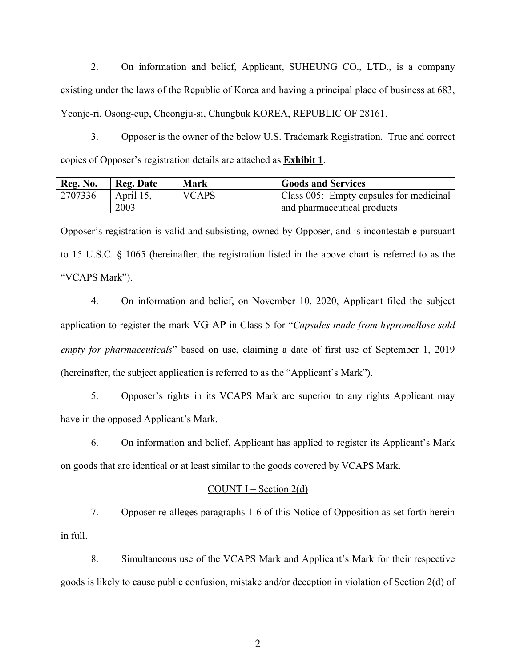2. On information and belief, Applicant, SUHEUNG CO., LTD., is a company existing under the laws of the Republic of Korea and having a principal place of business at 683, Yeonje-ri, Osong-eup, Cheongju-si, Chungbuk KOREA, REPUBLIC OF 28161.

 3. Opposer is the owner of the below U.S. Trademark Registration. True and correct copies of Opposer's registration details are attached as **Exhibit 1**.

| Reg. No. | <b>Reg. Date</b> | Mark         | <b>Goods and Services</b>               |
|----------|------------------|--------------|-----------------------------------------|
| 2707336  | April 15,        | <b>VCAPS</b> | Class 005: Empty capsules for medicinal |
|          | 2003             |              | and pharmaceutical products             |

Opposer's registration is valid and subsisting, owned by Opposer, and is incontestable pursuant to 15 U.S.C. § 1065 (hereinafter, the registration listed in the above chart is referred to as the "VCAPS Mark").

 4. On information and belief, on November 10, 2020, Applicant filed the subject application to register the mark VG AP in Class 5 for "*Capsules made from hypromellose sold empty for pharmaceuticals*" based on use, claiming a date of first use of September 1, 2019 (hereinafter, the subject application is referred to as the "Applicant's Mark").

5. Opposer's rights in its VCAPS Mark are superior to any rights Applicant may have in the opposed Applicant's Mark.

6. On information and belief, Applicant has applied to register its Applicant's Mark on goods that are identical or at least similar to the goods covered by VCAPS Mark.

#### COUNT  $I - Section 2(d)$

 7. Opposer re-alleges paragraphs 1-6 of this Notice of Opposition as set forth herein in full.

 8. Simultaneous use of the VCAPS Mark and Applicant's Mark for their respective goods is likely to cause public confusion, mistake and/or deception in violation of Section 2(d) of

2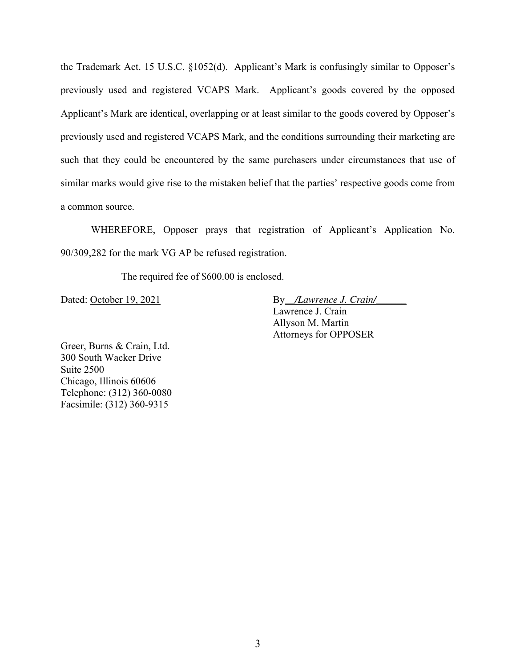the Trademark Act. 15 U.S.C. §1052(d). Applicant's Mark is confusingly similar to Opposer's previously used and registered VCAPS Mark. Applicant's goods covered by the opposed Applicant's Mark are identical, overlapping or at least similar to the goods covered by Opposer's previously used and registered VCAPS Mark, and the conditions surrounding their marketing are such that they could be encountered by the same purchasers under circumstances that use of similar marks would give rise to the mistaken belief that the parties' respective goods come from a common source.

 WHEREFORE, Opposer prays that registration of Applicant's Application No. 90/309,282 for the mark VG AP be refused registration.

The required fee of \$600.00 is enclosed.

Dated: <u>October 19, 2021</u> By<sub>\_/Lawrence J. Crain/</sub> Lawrence J. Crain Allyson M. Martin Attorneys for OPPOSER

Greer, Burns & Crain, Ltd. 300 South Wacker Drive Suite 2500 Chicago, Illinois 60606 Telephone: (312) 360-0080 Facsimile: (312) 360-9315